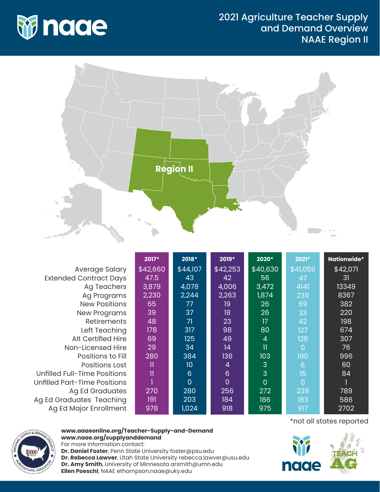

## 2021 Agriculture Teacher Supply and Demand Overview NAAE Region II



|                                     | 2017*        | 2018*           | 2019*          | 2020*                   | 2021*          | Nationwide* |
|-------------------------------------|--------------|-----------------|----------------|-------------------------|----------------|-------------|
| Average Salary                      | \$42,660     | \$44,107        | \$42,253       | \$40,630                | \$41,059       | \$42,071    |
| <b>Extended Contract Days</b>       | 47.5         | 43              | 42             | 56                      | 47             | 31          |
| Ag Teachers                         | 3,879        | 4,078           | 4,006          | 3,472                   | 4141           | 13349       |
| Ag Programs                         | 2,230        | 2,244           | 2,263          | 1,874                   | 2311           | 8367        |
| <b>New Positions</b>                | 65           | 77              | 19             | 26                      | 69             | 382         |
| <b>New Programs</b>                 | 39           | 37              | 18             | 26                      | 33             | 220         |
| <b>Retirements</b>                  | 48           | 71              | 23             | 17                      | 42             | 198         |
| Left Teaching                       | 178          | 317             | 98             | 80                      | 127            | 674         |
| <b>Alt Certified Hire</b>           | 69           | 125             | 49             | 4                       | 126            | 307         |
| Non-Licensed Hire                   | 29           | 34              | 14             | $\overline{\mathbf{1}}$ | $\overline{0}$ | 76          |
| Positions to Fill                   | 280          | 384             | 136            | 103                     | 190            | 996         |
| <b>Positions Lost</b>               | $\mathbf{I}$ | 10              | 4              | 3                       | $6\phantom{1}$ | 60          |
| Unfilled Full-Time Positions        | $\mathbf{I}$ | $6\phantom{1}6$ | $6\phantom{1}$ | 3                       | 15             | 84          |
| <b>Unfilled Part-Time Positions</b> |              | $\overline{0}$  | 0              | $\overline{0}$          | $\overline{0}$ |             |
| <b>Ag Ed Graduates</b>              | 270          | 280             | 256            | 272                     | 239            | 789         |
| Ag Ed Graduates Teaching            | 191          | 203             | 184            | 186                     | 183            | 586         |
| Ag Ed Major Enrollment              | 978          | 1,024           | 918            | 975                     | 917            | 2702        |



## **www.aaaeonline.org/Teacher-Supply-and-Demand www.naae.org/supplyanddemand**

For more information contact: **Dr. Daniel Foster**, Penn State University foster@psu.edu **Dr. Rebecca Lawver**, Utah State University rebecca.lawver@usu.edu **Dr. Amy Smith**, University of Minnesota arsmith@umn.edu **Ellen Poeschl**, NAAE ethompson.naae@uky.edu

\*not all states reported